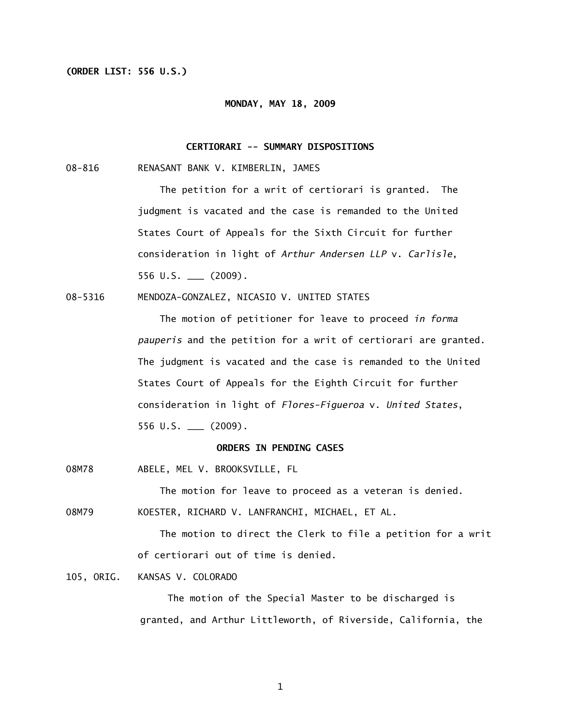# **(ORDER LIST: 556 U.S.)**

#### **MONDAY, MAY 18, 2009**

## **CERTIORARI -- SUMMARY DISPOSITIONS**

08-816 RENASANT BANK V. KIMBERLIN, JAMES

 The petition for a writ of certiorari is granted. The judgment is vacated and the case is remanded to the United States Court of Appeals for the Sixth Circuit for further consideration in light of *Arthur Andersen LLP* v. *Carlisle*, 556 U.S. \_\_\_ (2009).

08-5316 MENDOZA-GONZALEZ, NICASIO V. UNITED STATES

 The motion of petitioner for leave to proceed *in forma pauperis* and the petition for a writ of certiorari are granted. The judgment is vacated and the case is remanded to the United States Court of Appeals for the Eighth Circuit for further consideration in light of *Flores-Figueroa* v. *United States*, 556 U.S. \_\_\_ (2009).

## **ORDERS IN PENDING CASES**

08M78 ABELE, MEL V. BROOKSVILLE, FL

The motion for leave to proceed as a veteran is denied.

08M79 KOESTER, RICHARD V. LANFRANCHI, MICHAEL, ET AL.

The motion to direct the Clerk to file a petition for a writ of certiorari out of time is denied.

105, ORIG. KANSAS V. COLORADO

 The motion of the Special Master to be discharged is granted, and Arthur Littleworth, of Riverside, California, the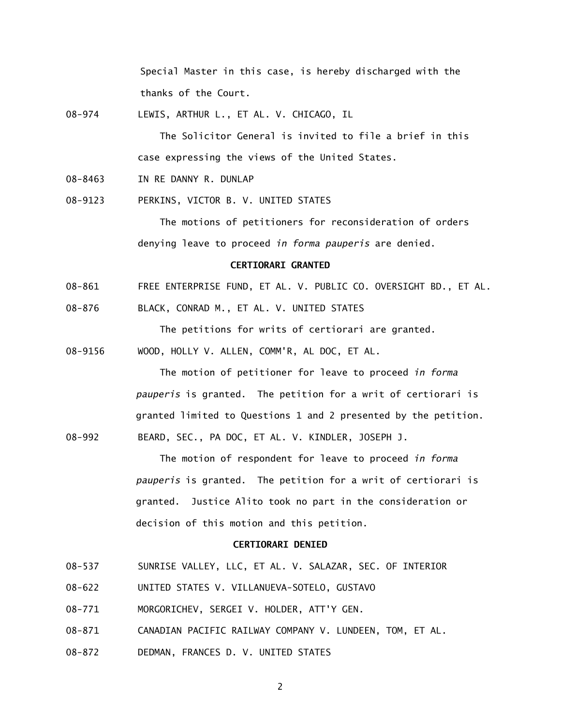Special Master in this case, is hereby discharged with the thanks of the Court.

08-974 LEWIS, ARTHUR L., ET AL. V. CHICAGO, IL

 The Solicitor General is invited to file a brief in this case expressing the views of the United States.

- 08-8463 IN RE DANNY R. DUNLAP
- 08-9123 PERKINS, VICTOR B. V. UNITED STATES

 The motions of petitioners for reconsideration of orders denying leave to proceed *in forma pauperis* are denied.

#### **CERTIORARI GRANTED**

- 08-861 FREE ENTERPRISE FUND, ET AL. V. PUBLIC CO. OVERSIGHT BD., ET AL.
- 08-876 BLACK, CONRAD M., ET AL. V. UNITED STATES

The petitions for writs of certiorari are granted.

08-9156 WOOD, HOLLY V. ALLEN, COMM'R, AL DOC, ET AL.

 The motion of petitioner for leave to proceed *in forma pauperis* is granted. The petition for a writ of certiorari is granted limited to Questions 1 and 2 presented by the petition. 08-992 BEARD, SEC., PA DOC, ET AL. V. KINDLER, JOSEPH J.

> The motion of respondent for leave to proceed *in forma pauperis* is granted. The petition for a writ of certiorari is granted. Justice Alito took no part in the consideration or decision of this motion and this petition.

## **CERTIORARI DENIED**

- 08-537 SUNRISE VALLEY, LLC, ET AL. V. SALAZAR, SEC. OF INTERIOR
- 08-622 UNITED STATES V. VILLANUEVA-SOTELO, GUSTAVO
- 08-771 MORGORICHEV, SERGEI V. HOLDER, ATT'Y GEN.
- 08-871 CANADIAN PACIFIC RAILWAY COMPANY V. LUNDEEN, TOM, ET AL.
- 08-872 DEDMAN, FRANCES D. V. UNITED STATES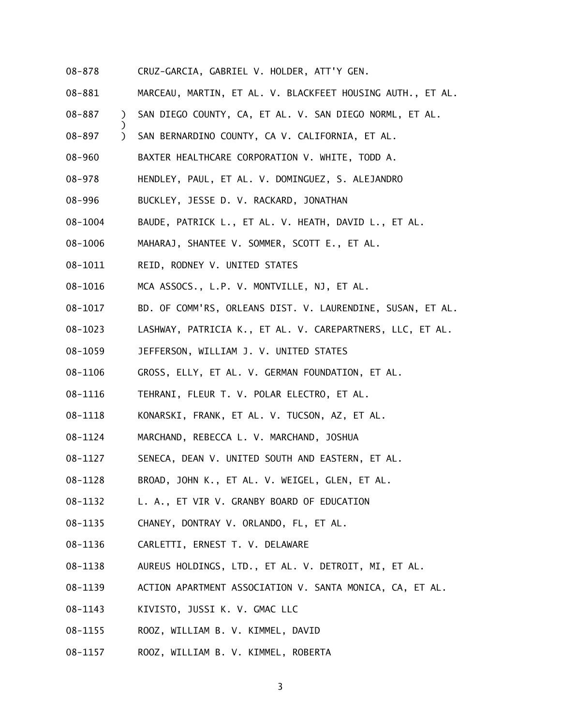- 08-878 CRUZ-GARCIA, GABRIEL V. HOLDER, ATT'Y GEN.
- 08-881 MARCEAU, MARTIN, ET AL. V. BLACKFEET HOUSING AUTH., ET AL.
- 08-887 ) SAN DIEGO COUNTY, CA, ET AL. V. SAN DIEGO NORML, ET AL.
- 08-897 ) SAN BERNARDINO COUNTY, CA V. CALIFORNIA, ET AL.
- 08-960 BAXTER HEALTHCARE CORPORATION V. WHITE, TODD A.
- 08-978 HENDLEY, PAUL, ET AL. V. DOMINGUEZ, S. ALEJANDRO
- 08-996 BUCKLEY, JESSE D. V. RACKARD, JONATHAN
- 08-1004 BAUDE, PATRICK L., ET AL. V. HEATH, DAVID L., ET AL.
- 08-1006 MAHARAJ, SHANTEE V. SOMMER, SCOTT E., ET AL.
- 08-1011 REID, RODNEY V. UNITED STATES

)

- 08-1016 MCA ASSOCS., L.P. V. MONTVILLE, NJ, ET AL.
- 08-1017 BD. OF COMM'RS, ORLEANS DIST. V. LAURENDINE, SUSAN, ET AL.
- 08-1023 LASHWAY, PATRICIA K., ET AL. V. CAREPARTNERS, LLC, ET AL.
- 08-1059 JEFFERSON, WILLIAM J. V. UNITED STATES
- 08-1106 GROSS, ELLY, ET AL. V. GERMAN FOUNDATION, ET AL.
- 08-1116 TEHRANI, FLEUR T. V. POLAR ELECTRO, ET AL.
- 08-1118 KONARSKI, FRANK, ET AL. V. TUCSON, AZ, ET AL.
- 08-1124 MARCHAND, REBECCA L. V. MARCHAND, JOSHUA
- 08-1127 SENECA, DEAN V. UNITED SOUTH AND EASTERN, ET AL.
- 08-1128 BROAD, JOHN K., ET AL. V. WEIGEL, GLEN, ET AL.
- 08-1132 L. A., ET VIR V. GRANBY BOARD OF EDUCATION
- 08-1135 CHANEY, DONTRAY V. ORLANDO, FL, ET AL.
- 08-1136 CARLETTI, ERNEST T. V. DELAWARE
- 08-1138 AUREUS HOLDINGS, LTD., ET AL. V. DETROIT, MI, ET AL.
- 08-1139 ACTION APARTMENT ASSOCIATION V. SANTA MONICA, CA, ET AL.
- 08-1143 KIVISTO, JUSSI K. V. GMAC LLC
- 08-1155 ROOZ, WILLIAM B. V. KIMMEL, DAVID
- 08-1157 ROOZ, WILLIAM B. V. KIMMEL, ROBERTA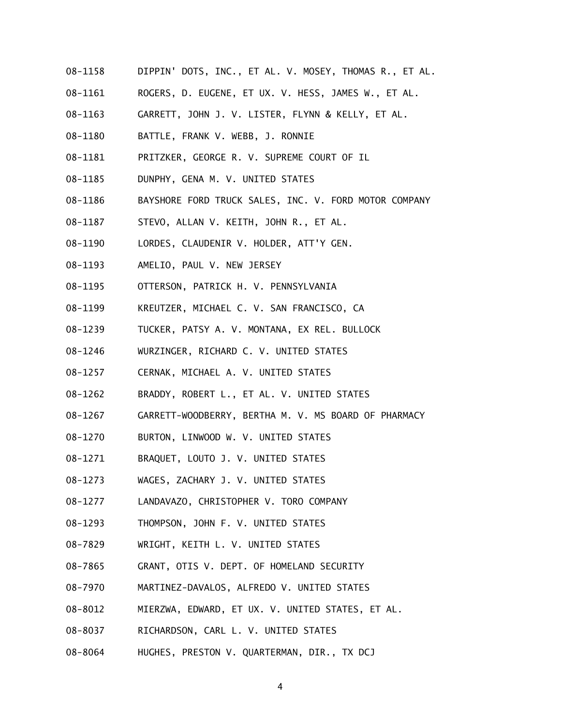- 08-1158 DIPPIN' DOTS, INC., ET AL. V. MOSEY, THOMAS R., ET AL.
- 08-1161 ROGERS, D. EUGENE, ET UX. V. HESS, JAMES W., ET AL.
- 08-1163 GARRETT, JOHN J. V. LISTER, FLYNN & KELLY, ET AL.
- 08-1180 BATTLE, FRANK V. WEBB, J. RONNIE
- 08-1181 PRITZKER, GEORGE R. V. SUPREME COURT OF IL
- 08-1185 DUNPHY, GENA M. V. UNITED STATES
- 08-1186 BAYSHORE FORD TRUCK SALES, INC. V. FORD MOTOR COMPANY
- 08-1187 STEVO, ALLAN V. KEITH, JOHN R., ET AL.
- 08-1190 LORDES, CLAUDENIR V. HOLDER, ATT'Y GEN.
- 08-1193 AMELIO, PAUL V. NEW JERSEY
- 08-1195 OTTERSON, PATRICK H. V. PENNSYLVANIA
- 08-1199 KREUTZER, MICHAEL C. V. SAN FRANCISCO, CA
- 08-1239 TUCKER, PATSY A. V. MONTANA, EX REL. BULLOCK
- 08-1246 WURZINGER, RICHARD C. V. UNITED STATES
- 08-1257 CERNAK, MICHAEL A. V. UNITED STATES
- 08-1262 BRADDY, ROBERT L., ET AL. V. UNITED STATES
- 08-1267 GARRETT-WOODBERRY, BERTHA M. V. MS BOARD OF PHARMACY
- 08-1270 BURTON, LINWOOD W. V. UNITED STATES
- 08-1271 BRAQUET, LOUTO J. V. UNITED STATES
- 08-1273 WAGES, ZACHARY J. V. UNITED STATES
- 08-1277 LANDAVAZO, CHRISTOPHER V. TORO COMPANY
- 08-1293 THOMPSON, JOHN F. V. UNITED STATES
- 08-7829 WRIGHT, KEITH L. V. UNITED STATES
- 08-7865 GRANT, OTIS V. DEPT. OF HOMELAND SECURITY
- 08-7970 MARTINEZ-DAVALOS, ALFREDO V. UNITED STATES
- 08-8012 MIERZWA, EDWARD, ET UX. V. UNITED STATES, ET AL.
- 08-8037 RICHARDSON, CARL L. V. UNITED STATES
- 08-8064 HUGHES, PRESTON V. QUARTERMAN, DIR., TX DCJ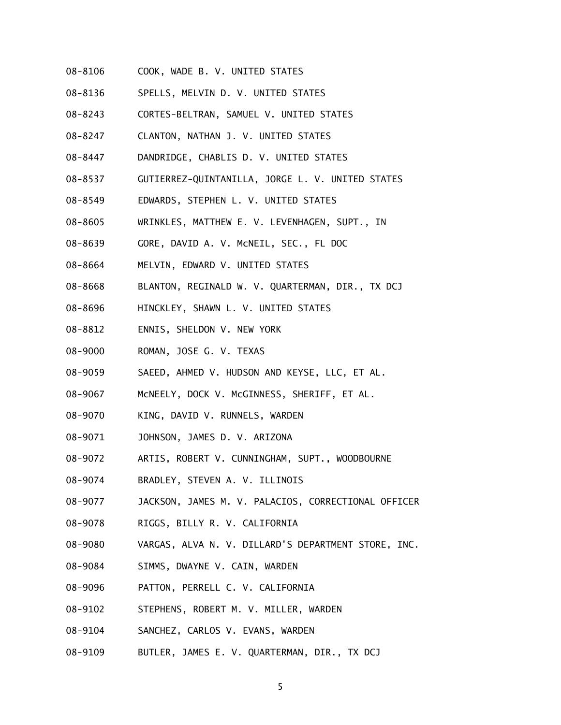- 08-8106 COOK, WADE B. V. UNITED STATES
- 08-8136 SPELLS, MELVIN D. V. UNITED STATES
- 08-8243 CORTES-BELTRAN, SAMUEL V. UNITED STATES
- 08-8247 CLANTON, NATHAN J. V. UNITED STATES
- 08-8447 DANDRIDGE, CHABLIS D. V. UNITED STATES
- 08-8537 GUTIERREZ-QUINTANILLA, JORGE L. V. UNITED STATES
- 08-8549 EDWARDS, STEPHEN L. V. UNITED STATES
- 08-8605 WRINKLES, MATTHEW E. V. LEVENHAGEN, SUPT., IN
- 08-8639 GORE, DAVID A. V. McNEIL, SEC., FL DOC
- 08-8664 MELVIN, EDWARD V. UNITED STATES
- 08-8668 BLANTON, REGINALD W. V. QUARTERMAN, DIR., TX DCJ
- 08-8696 HINCKLEY, SHAWN L. V. UNITED STATES
- 08-8812 ENNIS, SHELDON V. NEW YORK
- 08-9000 ROMAN, JOSE G. V. TEXAS
- 08-9059 SAEED, AHMED V. HUDSON AND KEYSE, LLC, ET AL.
- 08-9067 McNEELY, DOCK V. McGINNESS, SHERIFF, ET AL.
- 08-9070 KING, DAVID V. RUNNELS, WARDEN
- 08-9071 JOHNSON, JAMES D. V. ARIZONA
- 08-9072 ARTIS, ROBERT V. CUNNINGHAM, SUPT., WOODBOURNE
- 08-9074 BRADLEY, STEVEN A. V. ILLINOIS
- 08-9077 JACKSON, JAMES M. V. PALACIOS, CORRECTIONAL OFFICER
- 08-9078 RIGGS, BILLY R. V. CALIFORNIA
- 08-9080 VARGAS, ALVA N. V. DILLARD'S DEPARTMENT STORE, INC.
- 08-9084 SIMMS, DWAYNE V. CAIN, WARDEN
- 08-9096 PATTON, PERRELL C. V. CALIFORNIA
- 08-9102 STEPHENS, ROBERT M. V. MILLER, WARDEN
- 08-9104 SANCHEZ, CARLOS V. EVANS, WARDEN
- 08-9109 BUTLER, JAMES E. V. QUARTERMAN, DIR., TX DCJ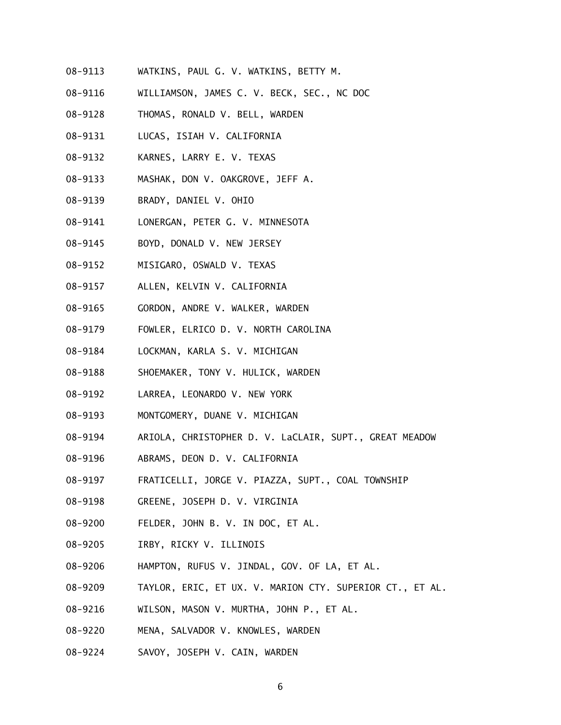- 08-9113 WATKINS, PAUL G. V. WATKINS, BETTY M.
- 08-9116 WILLIAMSON, JAMES C. V. BECK, SEC., NC DOC
- 08-9128 THOMAS, RONALD V. BELL, WARDEN
- 08-9131 LUCAS, ISIAH V. CALIFORNIA
- 08-9132 KARNES, LARRY E. V. TEXAS
- 08-9133 MASHAK, DON V. OAKGROVE, JEFF A.
- 08-9139 BRADY, DANIEL V. OHIO
- 08-9141 LONERGAN, PETER G. V. MINNESOTA
- 08-9145 BOYD, DONALD V. NEW JERSEY
- 08-9152 MISIGARO, OSWALD V. TEXAS
- 08-9157 ALLEN, KELVIN V. CALIFORNIA
- 08-9165 GORDON, ANDRE V. WALKER, WARDEN
- 08-9179 FOWLER, ELRICO D. V. NORTH CAROLINA
- 08-9184 LOCKMAN, KARLA S. V. MICHIGAN
- 08-9188 SHOEMAKER, TONY V. HULICK, WARDEN
- 08-9192 LARREA, LEONARDO V. NEW YORK
- 08-9193 MONTGOMERY, DUANE V. MICHIGAN
- 08-9194 ARIOLA, CHRISTOPHER D. V. LaCLAIR, SUPT., GREAT MEADOW
- 08-9196 ABRAMS, DEON D. V. CALIFORNIA
- 08-9197 FRATICELLI, JORGE V. PIAZZA, SUPT., COAL TOWNSHIP
- 08-9198 GREENE, JOSEPH D. V. VIRGINIA
- 08-9200 FELDER, JOHN B. V. IN DOC, ET AL.
- 08-9205 IRBY, RICKY V. ILLINOIS
- 08-9206 HAMPTON, RUFUS V. JINDAL, GOV. OF LA, ET AL.
- 08-9209 TAYLOR, ERIC, ET UX. V. MARION CTY. SUPERIOR CT., ET AL.
- 08-9216 WILSON, MASON V. MURTHA, JOHN P., ET AL.
- 08-9220 MENA, SALVADOR V. KNOWLES, WARDEN
- 08-9224 SAVOY, JOSEPH V. CAIN, WARDEN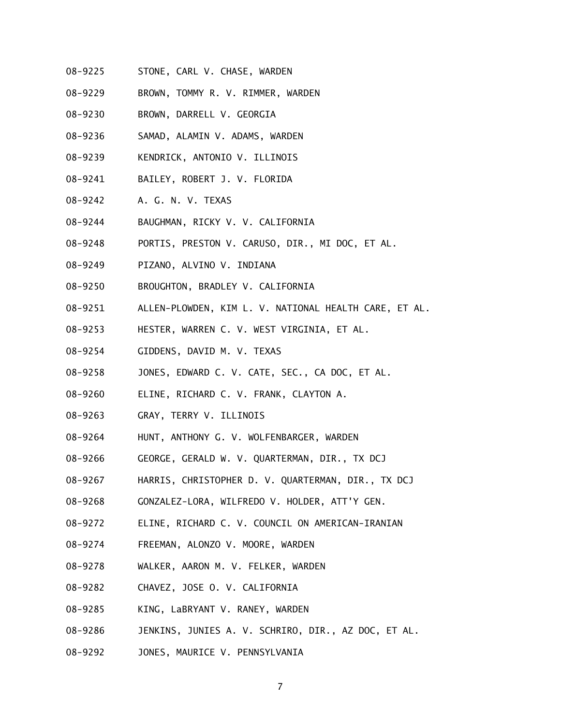- 08-9225 STONE, CARL V. CHASE, WARDEN
- 08-9229 BROWN, TOMMY R. V. RIMMER, WARDEN
- 08-9230 BROWN, DARRELL V. GEORGIA
- 08-9236 SAMAD, ALAMIN V. ADAMS, WARDEN
- 08-9239 KENDRICK, ANTONIO V. ILLINOIS
- 08-9241 BAILEY, ROBERT J. V. FLORIDA
- 08-9242 A. G. N. V. TEXAS
- 08-9244 BAUGHMAN, RICKY V. V. CALIFORNIA
- 08-9248 PORTIS, PRESTON V. CARUSO, DIR., MI DOC, ET AL.
- 08-9249 PIZANO, ALVINO V. INDIANA
- 08-9250 BROUGHTON, BRADLEY V. CALIFORNIA
- 08-9251 ALLEN-PLOWDEN, KIM L. V. NATIONAL HEALTH CARE, ET AL.
- 08-9253 HESTER, WARREN C. V. WEST VIRGINIA, ET AL.
- 08-9254 GIDDENS, DAVID M. V. TEXAS
- 08-9258 JONES, EDWARD C. V. CATE, SEC., CA DOC, ET AL.
- 08-9260 ELINE, RICHARD C. V. FRANK, CLAYTON A.
- 08-9263 GRAY, TERRY V. ILLINOIS
- 08-9264 HUNT, ANTHONY G. V. WOLFENBARGER, WARDEN
- 08-9266 GEORGE, GERALD W. V. QUARTERMAN, DIR., TX DCJ
- 08-9267 HARRIS, CHRISTOPHER D. V. QUARTERMAN, DIR., TX DCJ
- 08-9268 GONZALEZ-LORA, WILFREDO V. HOLDER, ATT'Y GEN.
- 08-9272 ELINE, RICHARD C. V. COUNCIL ON AMERICAN-IRANIAN
- 08-9274 FREEMAN, ALONZO V. MOORE, WARDEN
- 08-9278 WALKER, AARON M. V. FELKER, WARDEN
- 08-9282 CHAVEZ, JOSE O. V. CALIFORNIA
- 08-9285 KING, LaBRYANT V. RANEY, WARDEN
- 08-9286 JENKINS, JUNIES A. V. SCHRIRO, DIR., AZ DOC, ET AL.
- 08-9292 JONES, MAURICE V. PENNSYLVANIA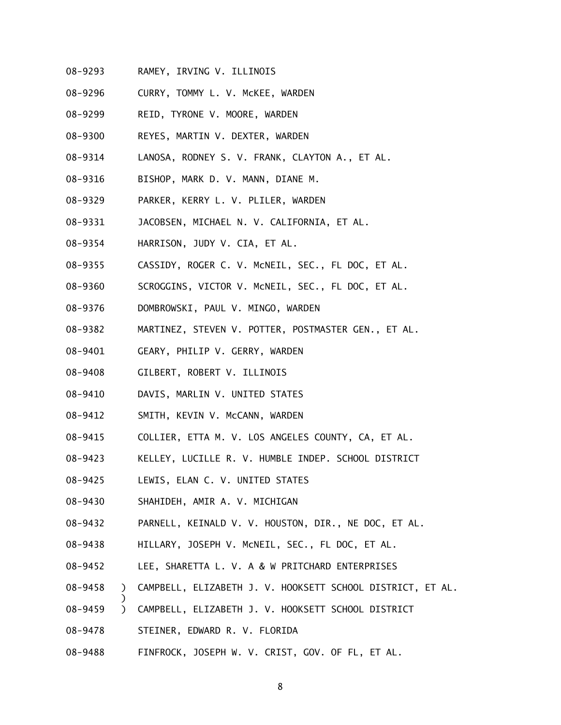- 08-9293 RAMEY, IRVING V. ILLINOIS
- 08-9296 CURRY, TOMMY L. V. McKEE, WARDEN
- 08-9299 REID, TYRONE V. MOORE, WARDEN
- 08-9300 REYES, MARTIN V. DEXTER, WARDEN
- 08-9314 LANOSA, RODNEY S. V. FRANK, CLAYTON A., ET AL.
- 08-9316 BISHOP, MARK D. V. MANN, DIANE M.
- 08-9329 PARKER, KERRY L. V. PLILER, WARDEN
- 08-9331 JACOBSEN, MICHAEL N. V. CALIFORNIA, ET AL.
- 08-9354 HARRISON, JUDY V. CIA, ET AL.
- 08-9355 CASSIDY, ROGER C. V. McNEIL, SEC., FL DOC, ET AL.
- 08-9360 SCROGGINS, VICTOR V. McNEIL, SEC., FL DOC, ET AL.
- 08-9376 DOMBROWSKI, PAUL V. MINGO, WARDEN
- 08-9382 MARTINEZ, STEVEN V. POTTER, POSTMASTER GEN., ET AL.
- 08-9401 GEARY, PHILIP V. GERRY, WARDEN
- 08-9408 GILBERT, ROBERT V. ILLINOIS
- 08-9410 DAVIS, MARLIN V. UNITED STATES
- 08-9412 SMITH, KEVIN V. McCANN, WARDEN
- 08-9415 COLLIER, ETTA M. V. LOS ANGELES COUNTY, CA, ET AL.
- 08-9423 KELLEY, LUCILLE R. V. HUMBLE INDEP. SCHOOL DISTRICT
- 08-9425 LEWIS, ELAN C. V. UNITED STATES
- 08-9430 SHAHIDEH, AMIR A. V. MICHIGAN
- 08-9432 PARNELL, KEINALD V. V. HOUSTON, DIR., NE DOC, ET AL.
- 08-9438 HILLARY, JOSEPH V. McNEIL, SEC., FL DOC, ET AL.
- 08-9452 LEE, SHARETTA L. V. A & W PRITCHARD ENTERPRISES
- 08-9458 ) CAMPBELL, ELIZABETH J. V. HOOKSETT SCHOOL DISTRICT, ET AL.
- 08-9459 ) CAMPBELL, ELIZABETH J. V. HOOKSETT SCHOOL DISTRICT
- 08-9478 STEINER, EDWARD R. V. FLORIDA

)

08-9488 FINFROCK, JOSEPH W. V. CRIST, GOV. OF FL, ET AL.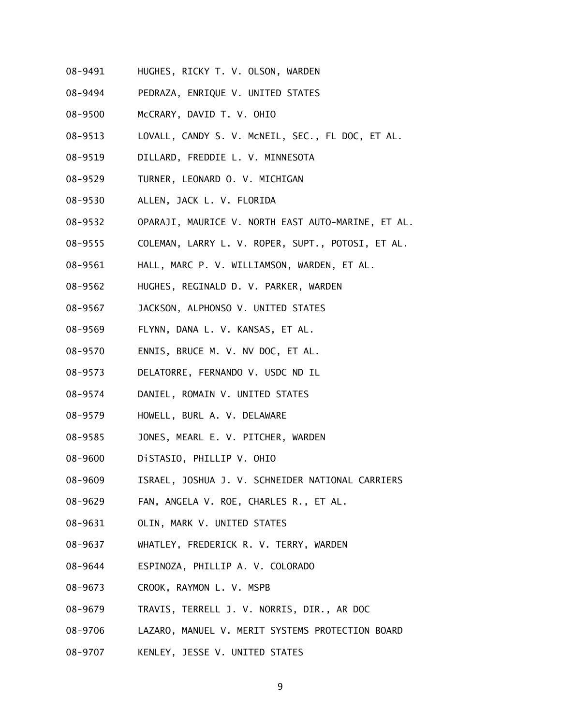- 08-9491 HUGHES, RICKY T. V. OLSON, WARDEN
- 08-9494 PEDRAZA, ENRIQUE V. UNITED STATES
- 08-9500 McCRARY, DAVID T. V. OHIO
- 08-9513 LOVALL, CANDY S. V. McNEIL, SEC., FL DOC, ET AL.
- 08-9519 DILLARD, FREDDIE L. V. MINNESOTA
- 08-9529 TURNER, LEONARD O. V. MICHIGAN
- 08-9530 ALLEN, JACK L. V. FLORIDA
- 08-9532 OPARAJI, MAURICE V. NORTH EAST AUTO-MARINE, ET AL.
- 08-9555 COLEMAN, LARRY L. V. ROPER, SUPT., POTOSI, ET AL.
- 08-9561 HALL, MARC P. V. WILLIAMSON, WARDEN, ET AL.
- 08-9562 HUGHES, REGINALD D. V. PARKER, WARDEN
- 08-9567 JACKSON, ALPHONSO V. UNITED STATES
- 08-9569 FLYNN, DANA L. V. KANSAS, ET AL.
- 08-9570 ENNIS, BRUCE M. V. NV DOC, ET AL.
- 08-9573 DELATORRE, FERNANDO V. USDC ND IL
- 08-9574 DANIEL, ROMAIN V. UNITED STATES
- 08-9579 HOWELL, BURL A. V. DELAWARE
- 08-9585 JONES, MEARL E. V. PITCHER, WARDEN
- 08-9600 DiSTASIO, PHILLIP V. OHIO
- 08-9609 ISRAEL, JOSHUA J. V. SCHNEIDER NATIONAL CARRIERS
- 08-9629 FAN, ANGELA V. ROE, CHARLES R., ET AL.
- 08-9631 OLIN, MARK V. UNITED STATES
- 08-9637 WHATLEY, FREDERICK R. V. TERRY, WARDEN
- 08-9644 ESPINOZA, PHILLIP A. V. COLORADO
- 08-9673 CROOK, RAYMON L. V. MSPB
- 08-9679 TRAVIS, TERRELL J. V. NORRIS, DIR., AR DOC
- 08-9706 LAZARO, MANUEL V. MERIT SYSTEMS PROTECTION BOARD
- 08-9707 KENLEY, JESSE V. UNITED STATES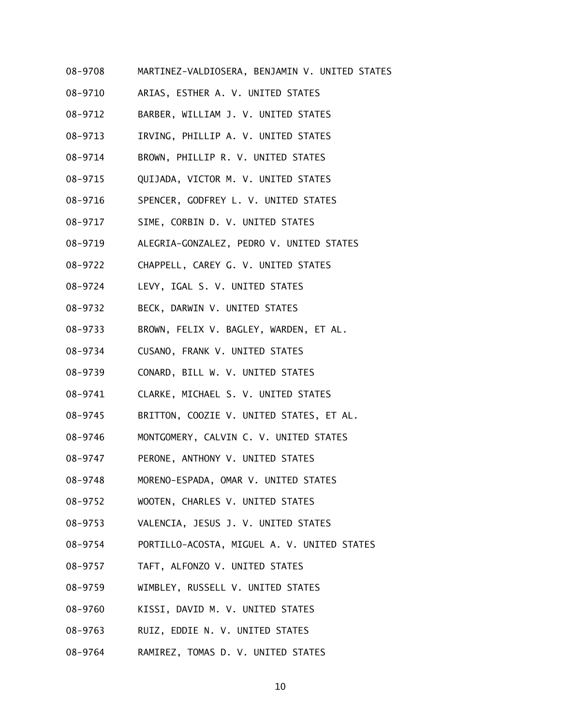- 08-9708 MARTINEZ-VALDIOSERA, BENJAMIN V. UNITED STATES
- 08-9710 ARIAS, ESTHER A. V. UNITED STATES
- 08-9712 BARBER, WILLIAM J. V. UNITED STATES
- 08-9713 IRVING, PHILLIP A. V. UNITED STATES
- 08-9714 BROWN, PHILLIP R. V. UNITED STATES
- 08-9715 QUIJADA, VICTOR M. V. UNITED STATES
- 08-9716 SPENCER, GODFREY L. V. UNITED STATES
- 08-9717 SIME, CORBIN D. V. UNITED STATES
- 08-9719 ALEGRIA-GONZALEZ, PEDRO V. UNITED STATES
- 08-9722 CHAPPELL, CAREY G. V. UNITED STATES
- 08-9724 LEVY, IGAL S. V. UNITED STATES
- 08-9732 BECK, DARWIN V. UNITED STATES
- 08-9733 BROWN, FELIX V. BAGLEY, WARDEN, ET AL.
- 08-9734 CUSANO, FRANK V. UNITED STATES
- 08-9739 CONARD, BILL W. V. UNITED STATES
- 08-9741 CLARKE, MICHAEL S. V. UNITED STATES
- 08-9745 BRITTON, COOZIE V. UNITED STATES, ET AL.
- 08-9746 MONTGOMERY, CALVIN C. V. UNITED STATES
- 08-9747 PERONE, ANTHONY V. UNITED STATES
- 08-9748 MORENO-ESPADA, OMAR V. UNITED STATES
- 08-9752 WOOTEN, CHARLES V. UNITED STATES
- 08-9753 VALENCIA, JESUS J. V. UNITED STATES
- 08-9754 PORTILLO-ACOSTA, MIGUEL A. V. UNITED STATES
- 08-9757 TAFT, ALFONZO V. UNITED STATES
- 08-9759 WIMBLEY, RUSSELL V. UNITED STATES
- 08-9760 KISSI, DAVID M. V. UNITED STATES
- 08-9763 RUIZ, EDDIE N. V. UNITED STATES
- 08-9764 RAMIREZ, TOMAS D. V. UNITED STATES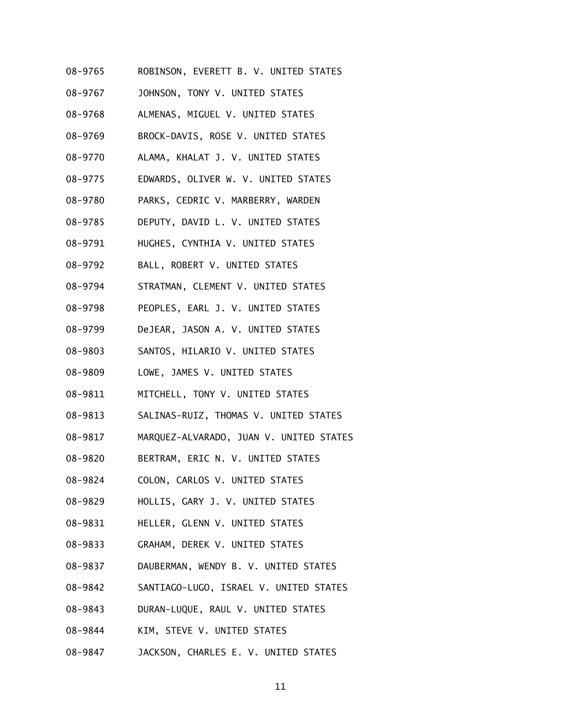- 08-9765 ROBINSON, EVERETT B. V. UNITED STATES
- 08-9767 JOHNSON, TONY V. UNITED STATES
- 08-9768 ALMENAS, MIGUEL V. UNITED STATES
- 08-9769 BROCK-DAVIS, ROSE V. UNITED STATES
- 08-9770 ALAMA, KHALAT J. V. UNITED STATES
- 08-9775 EDWARDS, OLIVER W. V. UNITED STATES
- 08-9780 PARKS, CEDRIC V. MARBERRY, WARDEN
- 08-9785 DEPUTY, DAVID L. V. UNITED STATES
- 08-9791 HUGHES, CYNTHIA V. UNITED STATES
- 08-9792 BALL, ROBERT V. UNITED STATES
- 08-9794 STRATMAN, CLEMENT V. UNITED STATES
- 08-9798 PEOPLES, EARL J. V. UNITED STATES
- 08-9799 DeJEAR, JASON A. V. UNITED STATES
- 08-9803 SANTOS, HILARIO V. UNITED STATES
- 08-9809 LOWE, JAMES V. UNITED STATES
- 08-9811 MITCHELL, TONY V. UNITED STATES
- 08-9813 SALINAS-RUIZ, THOMAS V. UNITED STATES
- 08-9817 MARQUEZ-ALVARADO, JUAN V. UNITED STATES
- 08-9820 BERTRAM, ERIC N. V. UNITED STATES
- 08-9824 COLON, CARLOS V. UNITED STATES
- 08-9829 HOLLIS, GARY J. V. UNITED STATES
- 08-9831 HELLER, GLENN V. UNITED STATES
- 08-9833 GRAHAM, DEREK V. UNITED STATES
- 08-9837 DAUBERMAN, WENDY B. V. UNITED STATES
- 08-9842 SANTIAGO-LUGO, ISRAEL V. UNITED STATES
- 08-9843 DURAN-LUQUE, RAUL V. UNITED STATES
- 08-9844 KIM, STEVE V. UNITED STATES
- 08-9847 JACKSON, CHARLES E. V. UNITED STATES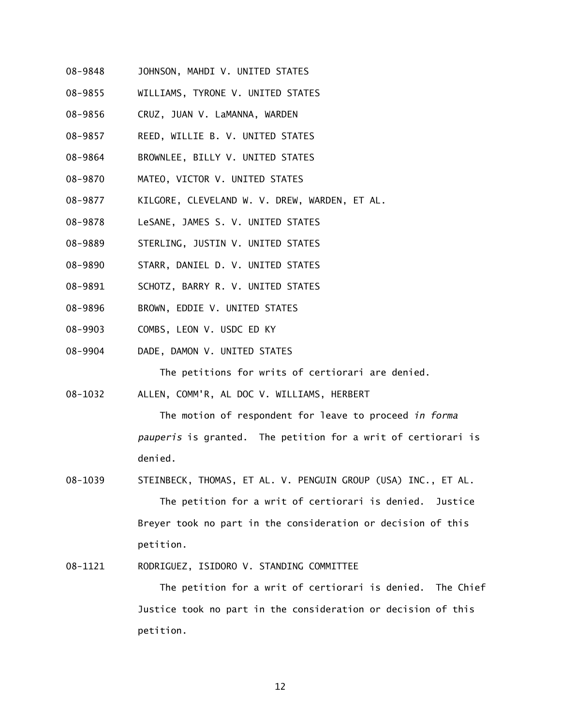- 08-9848 JOHNSON, MAHDI V. UNITED STATES
- 08-9855 WILLIAMS, TYRONE V. UNITED STATES
- 08-9856 CRUZ, JUAN V. LaMANNA, WARDEN
- 08-9857 REED, WILLIE B. V. UNITED STATES
- 08-9864 BROWNLEE, BILLY V. UNITED STATES
- 08-9870 MATEO, VICTOR V. UNITED STATES
- 08-9877 KILGORE, CLEVELAND W. V. DREW, WARDEN, ET AL.
- 08-9878 LeSANE, JAMES S. V. UNITED STATES
- 08-9889 STERLING, JUSTIN V. UNITED STATES
- 08-9890 STARR, DANIEL D. V. UNITED STATES
- 08-9891 SCHOTZ, BARRY R. V. UNITED STATES
- 08-9896 BROWN, EDDIE V. UNITED STATES
- 08-9903 COMBS, LEON V. USDC ED KY
- 08-9904 DADE, DAMON V. UNITED STATES

The petitions for writs of certiorari are denied.

08-1032 ALLEN, COMM'R, AL DOC V. WILLIAMS, HERBERT

 The motion of respondent for leave to proceed *in forma pauperis* is granted. The petition for a writ of certiorari is denied.

- 08-1039 STEINBECK, THOMAS, ET AL. V. PENGUIN GROUP (USA) INC., ET AL. The petition for a writ of certiorari is denied. Justice Breyer took no part in the consideration or decision of this petition.
- 08-1121 RODRIGUEZ, ISIDORO V. STANDING COMMITTEE

 The petition for a writ of certiorari is denied. The Chief Justice took no part in the consideration or decision of this petition.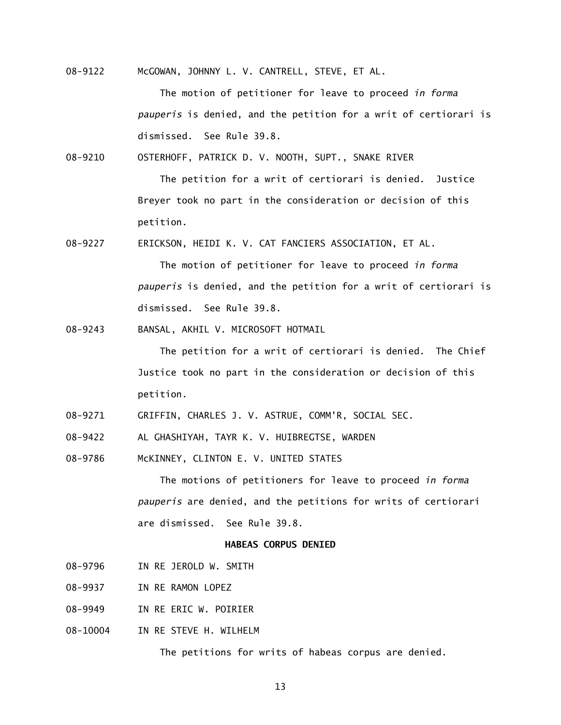08-9122 McGOWAN, JOHNNY L. V. CANTRELL, STEVE, ET AL.

 The motion of petitioner for leave to proceed *in forma pauperis* is denied, and the petition for a writ of certiorari is dismissed. See Rule 39.8.

08-9210 OSTERHOFF, PATRICK D. V. NOOTH, SUPT., SNAKE RIVER

 The petition for a writ of certiorari is denied. Justice Breyer took no part in the consideration or decision of this petition.

08-9227 ERICKSON, HEIDI K. V. CAT FANCIERS ASSOCIATION, ET AL.

 The motion of petitioner for leave to proceed *in forma pauperis* is denied, and the petition for a writ of certiorari is dismissed. See Rule 39.8.

08-9243 BANSAL, AKHIL V. MICROSOFT HOTMAIL

 The petition for a writ of certiorari is denied. The Chief Justice took no part in the consideration or decision of this petition.

- 08-9271 GRIFFIN, CHARLES J. V. ASTRUE, COMM'R, SOCIAL SEC.
- 08-9422 AL GHASHIYAH, TAYR K. V. HUIBREGTSE, WARDEN
- 08-9786 McKINNEY, CLINTON E. V. UNITED STATES

 The motions of petitioners for leave to proceed *in forma pauperis* are denied, and the petitions for writs of certiorari are dismissed. See Rule 39.8.

# **HABEAS CORPUS DENIED**

- 08-9796 IN RE JEROLD W. SMITH
- 08-9937 IN RE RAMON LOPEZ
- 08-9949 IN RE ERIC W. POIRIER
- 08-10004 IN RE STEVE H. WILHELM

The petitions for writs of habeas corpus are denied.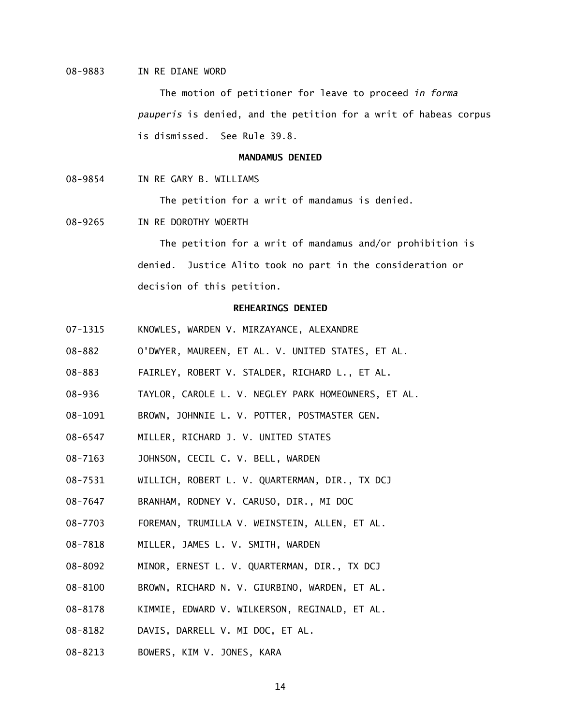## 08-9883 IN RE DIANE WORD

 The motion of petitioner for leave to proceed *in forma pauperis* is denied, and the petition for a writ of habeas corpus is dismissed. See Rule 39.8.

#### **MANDAMUS DENIED**

08-9854 IN RE GARY B. WILLIAMS

The petition for a writ of mandamus is denied.

08-9265 IN RE DOROTHY WOERTH

 The petition for a writ of mandamus and/or prohibition is denied. Justice Alito took no part in the consideration or decision of this petition.

#### **REHEARINGS DENIED**

- 07-1315 KNOWLES, WARDEN V. MIRZAYANCE, ALEXANDRE
- 08-882 O'DWYER, MAUREEN, ET AL. V. UNITED STATES, ET AL.
- 08-883 FAIRLEY, ROBERT V. STALDER, RICHARD L., ET AL.
- 08-936 TAYLOR, CAROLE L. V. NEGLEY PARK HOMEOWNERS, ET AL.
- 08-1091 BROWN, JOHNNIE L. V. POTTER, POSTMASTER GEN.
- 08-6547 MILLER, RICHARD J. V. UNITED STATES
- 08-7163 JOHNSON, CECIL C. V. BELL, WARDEN
- 08-7531 WILLICH, ROBERT L. V. QUARTERMAN, DIR., TX DCJ
- 08-7647 BRANHAM, RODNEY V. CARUSO, DIR., MI DOC
- 08-7703 FOREMAN, TRUMILLA V. WEINSTEIN, ALLEN, ET AL.
- 08-7818 MILLER, JAMES L. V. SMITH, WARDEN
- 08-8092 MINOR, ERNEST L. V. QUARTERMAN, DIR., TX DCJ
- 08-8100 BROWN, RICHARD N. V. GIURBINO, WARDEN, ET AL.
- 08-8178 KIMMIE, EDWARD V. WILKERSON, REGINALD, ET AL.
- 08-8182 DAVIS, DARRELL V. MI DOC, ET AL.
- 08-8213 BOWERS, KIM V. JONES, KARA